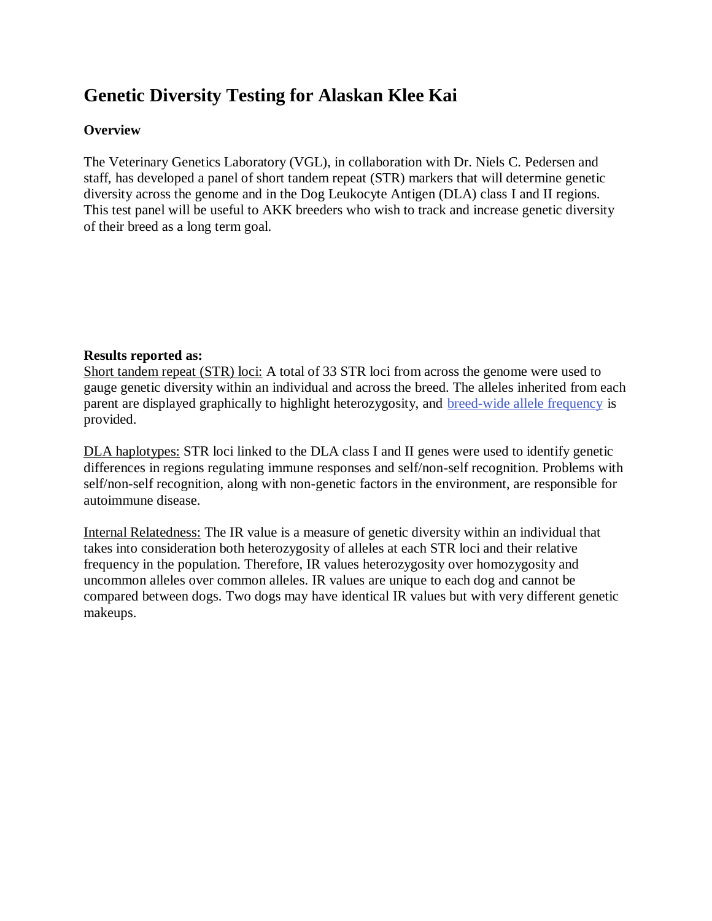# **Genetic Diversity Testing for Alaskan Klee Kai**

# **Overview**

The Veterinary Genetics Laboratory (VGL), in collaboration with Dr. Niels C. Pedersen and staff, has developed a panel of short tandem repeat (STR) markers that will determine genetic diversity across the genome and in the Dog Leukocyte Antigen (DLA) class I and II regions. This test panel will be useful to AKK breeders who wish to track and increase genetic diversity of their breed as a long term goal.

# **Results reported as:**

Short tandem repeat (STR) loci: A total of 33 STR loci from across the genome were used to gauge genetic diversity within an individual and across the breed. The alleles inherited from each parent are displayed graphically to highlight heterozygosity, and [breed-wide allele frequency](https://www.vgl.ucdavis.edu/services/dog/GeneticDiversityTestingInAlaskanKleeKaiSTRInfo.php) is provided.

DLA haplotypes: STR loci linked to the DLA class I and II genes were used to identify genetic differences in regions regulating immune responses and self/non-self recognition. Problems with self/non-self recognition, along with non-genetic factors in the environment, are responsible for autoimmune disease.

Internal Relatedness: The IR value is a measure of genetic diversity within an individual that takes into consideration both heterozygosity of alleles at each STR loci and their relative frequency in the population. Therefore, IR values heterozygosity over homozygosity and uncommon alleles over common alleles. IR values are unique to each dog and cannot be compared between dogs. Two dogs may have identical IR values but with very different genetic makeups.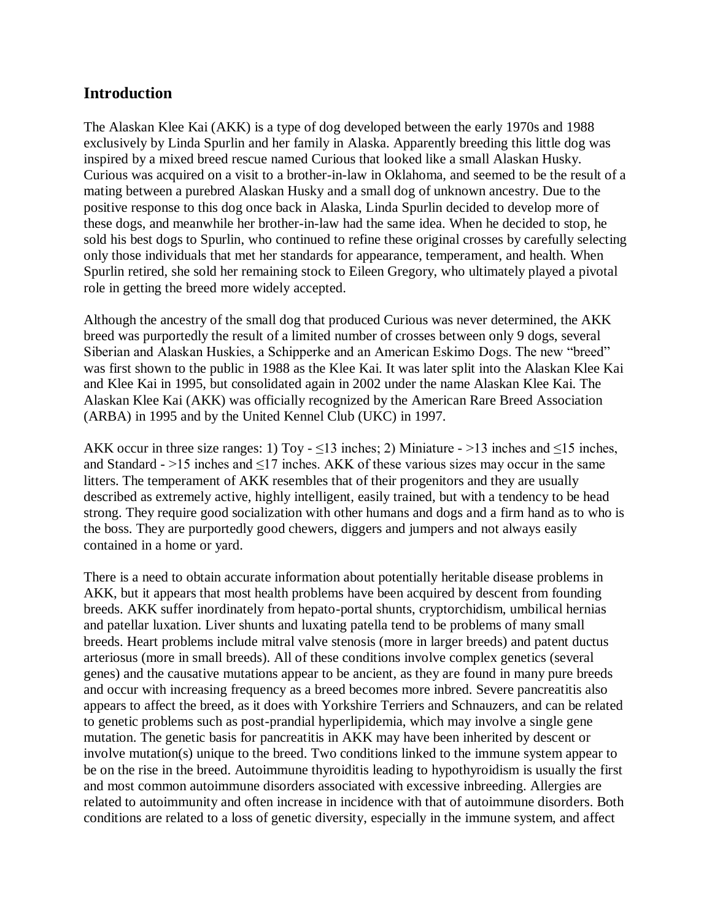# **Introduction**

The Alaskan Klee Kai (AKK) is a type of dog developed between the early 1970s and 1988 exclusively by Linda Spurlin and her family in Alaska. Apparently breeding this little dog was inspired by a mixed breed rescue named Curious that looked like a small Alaskan Husky. Curious was acquired on a visit to a brother-in-law in Oklahoma, and seemed to be the result of a mating between a purebred Alaskan Husky and a small dog of unknown ancestry. Due to the positive response to this dog once back in Alaska, Linda Spurlin decided to develop more of these dogs, and meanwhile her brother-in-law had the same idea. When he decided to stop, he sold his best dogs to Spurlin, who continued to refine these original crosses by carefully selecting only those individuals that met her standards for appearance, temperament, and health. When Spurlin retired, she sold her remaining stock to Eileen Gregory, who ultimately played a pivotal role in getting the breed more widely accepted.

Although the ancestry of the small dog that produced Curious was never determined, the AKK breed was purportedly the result of a limited number of crosses between only 9 dogs, several Siberian and Alaskan Huskies, a Schipperke and an American Eskimo Dogs. The new "breed" was first shown to the public in 1988 as the Klee Kai. It was later split into the Alaskan Klee Kai and Klee Kai in 1995, but consolidated again in 2002 under the name Alaskan Klee Kai. The Alaskan Klee Kai (AKK) was officially recognized by the American Rare Breed Association (ARBA) in 1995 and by the United Kennel Club (UKC) in 1997.

AKK occur in three size ranges: 1) Toy -  $\leq$ 13 inches; 2) Miniature - >13 inches and  $\leq$ 15 inches, and Standard -  $>15$  inches and  $\leq 17$  inches. AKK of these various sizes may occur in the same litters. The temperament of AKK resembles that of their progenitors and they are usually described as extremely active, highly intelligent, easily trained, but with a tendency to be head strong. They require good socialization with other humans and dogs and a firm hand as to who is the boss. They are purportedly good chewers, diggers and jumpers and not always easily contained in a home or yard.

There is a need to obtain accurate information about potentially heritable disease problems in AKK, but it appears that most health problems have been acquired by descent from founding breeds. AKK suffer inordinately from hepato-portal shunts, cryptorchidism, umbilical hernias and patellar luxation. Liver shunts and luxating patella tend to be problems of many small breeds. Heart problems include mitral valve stenosis (more in larger breeds) and patent ductus arteriosus (more in small breeds). All of these conditions involve complex genetics (several genes) and the causative mutations appear to be ancient, as they are found in many pure breeds and occur with increasing frequency as a breed becomes more inbred. Severe pancreatitis also appears to affect the breed, as it does with Yorkshire Terriers and Schnauzers, and can be related to genetic problems such as post-prandial hyperlipidemia, which may involve a single gene mutation. The genetic basis for pancreatitis in AKK may have been inherited by descent or involve mutation(s) unique to the breed. Two conditions linked to the immune system appear to be on the rise in the breed. Autoimmune thyroiditis leading to hypothyroidism is usually the first and most common autoimmune disorders associated with excessive inbreeding. Allergies are related to autoimmunity and often increase in incidence with that of autoimmune disorders. Both conditions are related to a loss of genetic diversity, especially in the immune system, and affect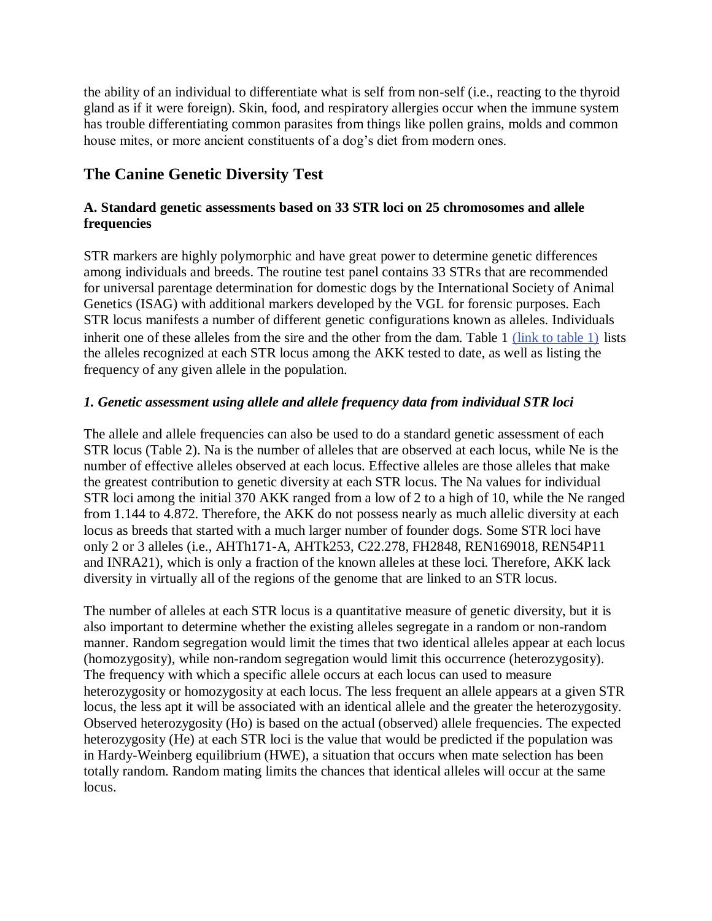the ability of an individual to differentiate what is self from non-self (i.e., reacting to the thyroid gland as if it were foreign). Skin, food, and respiratory allergies occur when the immune system has trouble differentiating common parasites from things like pollen grains, molds and common house mites, or more ancient constituents of a dog's diet from modern ones.

# **The Canine Genetic Diversity Test**

# **A. Standard genetic assessments based on 33 STR loci on 25 chromosomes and allele frequencies**

STR markers are highly polymorphic and have great power to determine genetic differences among individuals and breeds. The routine test panel contains 33 STRs that are recommended for universal parentage determination for domestic dogs by the International Society of Animal Genetics (ISAG) with additional markers developed by the VGL for forensic purposes. Each STR locus manifests a number of different genetic configurations known as alleles. Individuals inherit one of these alleles from the sire and the other from the dam. Table 1 [\(link to table 1\)](https://www.vgl.ucdavis.edu/services/dog/GeneticDiversityTestingInAlaskanKleeKaiSTRInfo.php) lists the alleles recognized at each STR locus among the AKK tested to date, as well as listing the frequency of any given allele in the population.

# *1. Genetic assessment using allele and allele frequency data from individual STR loci*

The allele and allele frequencies can also be used to do a standard genetic assessment of each STR locus (Table 2). Na is the number of alleles that are observed at each locus, while Ne is the number of effective alleles observed at each locus. Effective alleles are those alleles that make the greatest contribution to genetic diversity at each STR locus. The Na values for individual STR loci among the initial 370 AKK ranged from a low of 2 to a high of 10, while the Ne ranged from 1.144 to 4.872. Therefore, the AKK do not possess nearly as much allelic diversity at each locus as breeds that started with a much larger number of founder dogs. Some STR loci have only 2 or 3 alleles (i.e., AHTh171-A, AHTk253, C22.278, FH2848, REN169018, REN54P11 and INRA21), which is only a fraction of the known alleles at these loci. Therefore, AKK lack diversity in virtually all of the regions of the genome that are linked to an STR locus.

The number of alleles at each STR locus is a quantitative measure of genetic diversity, but it is also important to determine whether the existing alleles segregate in a random or non-random manner. Random segregation would limit the times that two identical alleles appear at each locus (homozygosity), while non-random segregation would limit this occurrence (heterozygosity). The frequency with which a specific allele occurs at each locus can used to measure heterozygosity or homozygosity at each locus. The less frequent an allele appears at a given STR locus, the less apt it will be associated with an identical allele and the greater the heterozygosity. Observed heterozygosity (Ho) is based on the actual (observed) allele frequencies. The expected heterozygosity (He) at each STR loci is the value that would be predicted if the population was in Hardy-Weinberg equilibrium (HWE), a situation that occurs when mate selection has been totally random. Random mating limits the chances that identical alleles will occur at the same locus.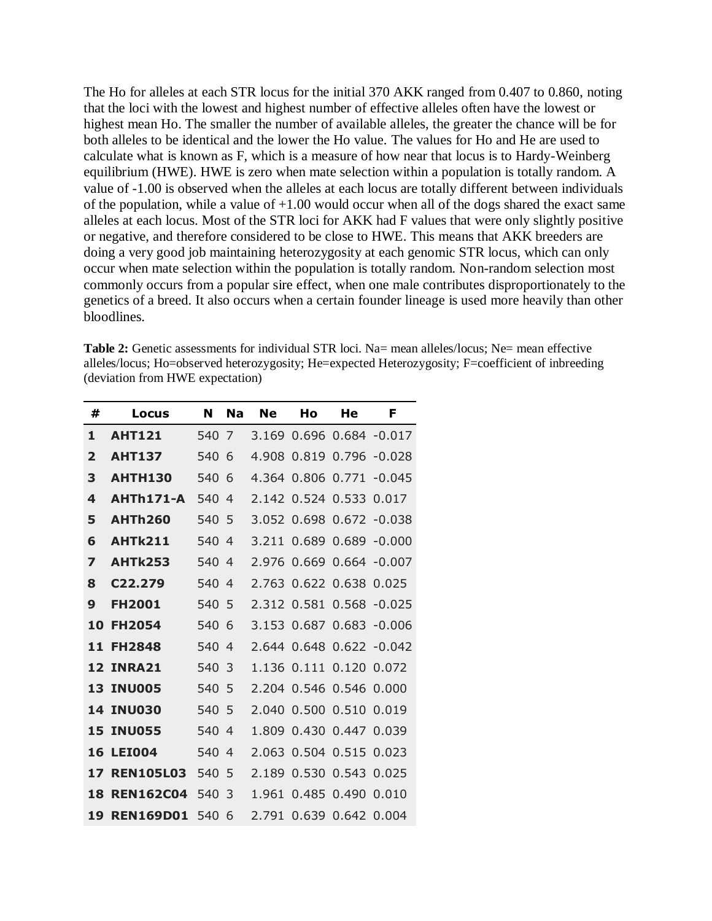The Ho for alleles at each STR locus for the initial 370 AKK ranged from 0.407 to 0.860, noting that the loci with the lowest and highest number of effective alleles often have the lowest or highest mean Ho. The smaller the number of available alleles, the greater the chance will be for both alleles to be identical and the lower the Ho value. The values for Ho and He are used to calculate what is known as F, which is a measure of how near that locus is to Hardy-Weinberg equilibrium (HWE). HWE is zero when mate selection within a population is totally random. A value of -1.00 is observed when the alleles at each locus are totally different between individuals of the population, while a value of  $+1.00$  would occur when all of the dogs shared the exact same alleles at each locus. Most of the STR loci for AKK had F values that were only slightly positive or negative, and therefore considered to be close to HWE. This means that AKK breeders are doing a very good job maintaining heterozygosity at each genomic STR locus, which can only occur when mate selection within the population is totally random. Non-random selection most commonly occurs from a popular sire effect, when one male contributes disproportionately to the genetics of a breed. It also occurs when a certain founder lineage is used more heavily than other bloodlines.

**Table 2:** Genetic assessments for individual STR loci. Na= mean alleles/locus: Ne= mean effective alleles/locus; Ho=observed heterozygosity; He=expected Heterozygosity; F=coefficient of inbreeding (deviation from HWE expectation)

| #                       | Locus                | N   | Na             | Ne    | Hο    | He    | F                        |
|-------------------------|----------------------|-----|----------------|-------|-------|-------|--------------------------|
| 1                       | <b>AHT121</b>        | 540 | 7              | 3.169 |       |       | $0.696$ $0.684$ $-0.017$ |
| $\overline{\mathbf{2}}$ | <b>AHT137</b>        | 540 | 6              | 4.908 | 0.819 | 0.796 | $-0.028$                 |
| 3                       | <b>AHTH130</b>       | 540 | 6              | 4.364 | 0.806 | 0.771 | $-0.045$                 |
| 4                       | <b>AHTh171-A</b>     | 540 | 4              | 2.142 | 0.524 | 0.533 | 0.017                    |
| 5                       | <b>AHTh260</b>       | 540 | 5              | 3.052 | 0.698 | 0.672 | $-0.038$                 |
| 6                       | <b>AHTk211</b>       | 540 | $\overline{4}$ | 3.211 | 0.689 | 0.689 | $-0.000$                 |
| 7                       | <b>AHTk253</b>       | 540 | 4              | 2.976 | 0.669 | 0.664 | $-0.007$                 |
| 8                       | C <sub>22</sub> .279 | 540 | 4              | 2.763 | 0.622 | 0.638 | 0.025                    |
| 9                       | <b>FH2001</b>        | 540 | 5              | 2.312 | 0.581 | 0.568 | $-0.025$                 |
| 10                      | <b>FH2054</b>        | 540 | 6              | 3.153 | 0.687 | 0.683 | -0.006                   |
| 11                      | <b>FH2848</b>        | 540 | 4              | 2.644 | 0.648 | 0.622 | $-0.042$                 |
| 12                      | INRA21               | 540 | 3              | 1.136 | 0.111 | 0.120 | 0.072                    |
| 13                      | INU005               | 540 | 5              | 2.204 | 0.546 | 0.546 | 0.000                    |
| 14                      | <b>INU030</b>        | 540 | 5              | 2.040 | 0.500 | 0.510 | 0.019                    |
| 15                      | <b>INU055</b>        | 540 | 4              | 1.809 | 0.430 | 0.447 | 0.039                    |
| 16                      | <b>LEI004</b>        | 540 | 4              | 2.063 | 0.504 | 0.515 | 0.023                    |
| 17                      | <b>REN105L03</b>     | 540 | 5              | 2.189 | 0.530 | 0.543 | 0.025                    |
| 18                      | <b>REN162C04</b>     | 540 | 3              | 1.961 | 0.485 | 0.490 | 0.010                    |
| 19                      | <b>REN169D01</b>     | 540 | 6              | 2.791 | 0.639 | 0.642 | 0.004                    |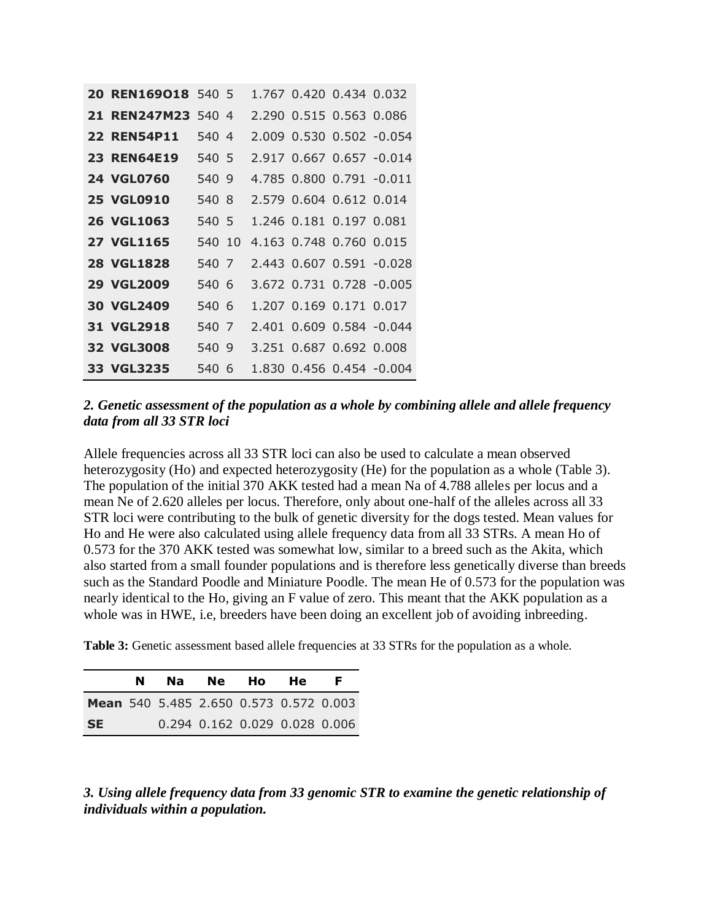| 20 REN169018 540 5 |        |  | 1.767 0.420 0.434 0.032 |                          |
|--------------------|--------|--|-------------------------|--------------------------|
| 21 REN247M23 540 4 |        |  | 2.290 0.515 0.563 0.086 |                          |
| <b>22 REN54P11</b> | 540 4  |  |                         | 2.009 0.530 0.502 -0.054 |
| <b>23 REN64E19</b> | 540 5  |  |                         | 2.917 0.667 0.657 -0.014 |
| <b>24 VGL0760</b>  | 540 9  |  |                         | 4.785 0.800 0.791 -0.011 |
| <b>25 VGL0910</b>  | 540 8  |  | 2.579 0.604 0.612 0.014 |                          |
| <b>26 VGL1063</b>  | 540 5  |  | 1.246 0.181 0.197 0.081 |                          |
| <b>27 VGL1165</b>  | 540 10 |  | 4.163 0.748 0.760 0.015 |                          |
| <b>28 VGL1828</b>  | 540 7  |  |                         | 2.443 0.607 0.591 -0.028 |
|                    |        |  |                         |                          |
| <b>29 VGL2009</b>  | 540 6  |  |                         | 3.672 0.731 0.728 -0.005 |
| <b>30 VGL2409</b>  | 540 6  |  | 1.207 0.169 0.171 0.017 |                          |
| 31 VGL2918         | 540 7  |  |                         | 2.401 0.609 0.584 -0.044 |
| <b>32 VGL3008</b>  | 540 9  |  | 3.251 0.687 0.692 0.008 |                          |

### *2. Genetic assessment of the population as a whole by combining allele and allele frequency data from all 33 STR loci*

Allele frequencies across all 33 STR loci can also be used to calculate a mean observed heterozygosity (Ho) and expected heterozygosity (He) for the population as a whole (Table 3). The population of the initial 370 AKK tested had a mean Na of 4.788 alleles per locus and a mean Ne of 2.620 alleles per locus. Therefore, only about one-half of the alleles across all 33 STR loci were contributing to the bulk of genetic diversity for the dogs tested. Mean values for Ho and He were also calculated using allele frequency data from all 33 STRs. A mean Ho of 0.573 for the 370 AKK tested was somewhat low, similar to a breed such as the Akita, which also started from a small founder populations and is therefore less genetically diverse than breeds such as the Standard Poodle and Miniature Poodle. The mean He of 0.573 for the population was nearly identical to the Ho, giving an F value of zero. This meant that the AKK population as a whole was in HWE, i.e, breeders have been doing an excellent job of avoiding inbreeding.

**Table 3:** Genetic assessment based allele frequencies at 33 STRs for the population as a whole.

|                                        | N |  | Na Ne Ho He                   | F. |
|----------------------------------------|---|--|-------------------------------|----|
| Mean 540 5.485 2.650 0.573 0.572 0.003 |   |  |                               |    |
| <b>SE</b>                              |   |  | 0.294 0.162 0.029 0.028 0.006 |    |

*3. Using allele frequency data from 33 genomic STR to examine the genetic relationship of individuals within a population.*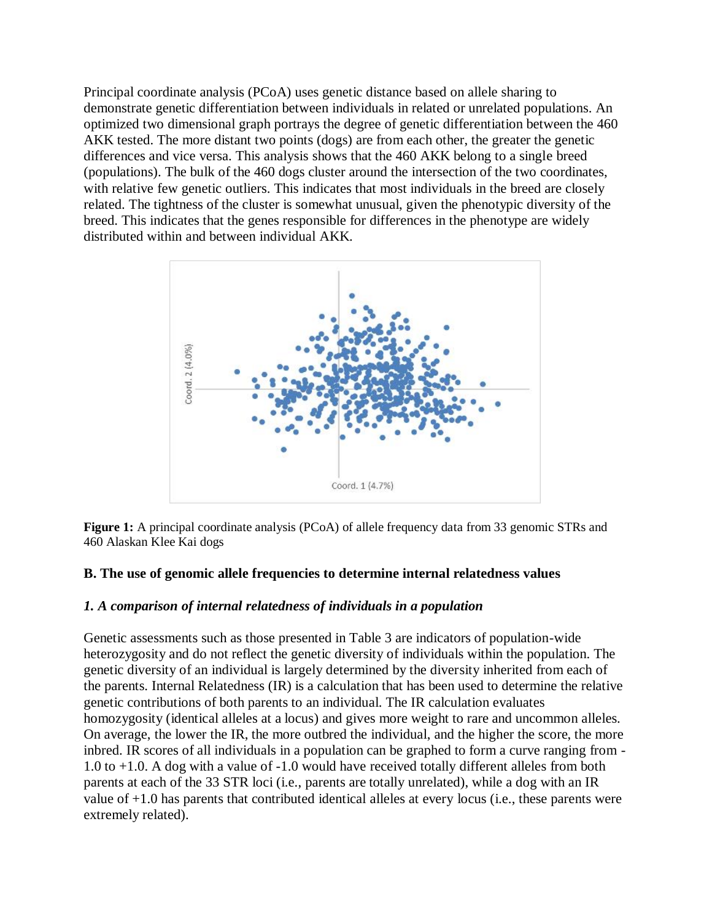Principal coordinate analysis (PCoA) uses genetic distance based on allele sharing to demonstrate genetic differentiation between individuals in related or unrelated populations. An optimized two dimensional graph portrays the degree of genetic differentiation between the 460 AKK tested. The more distant two points (dogs) are from each other, the greater the genetic differences and vice versa. This analysis shows that the 460 AKK belong to a single breed (populations). The bulk of the 460 dogs cluster around the intersection of the two coordinates, with relative few genetic outliers. This indicates that most individuals in the breed are closely related. The tightness of the cluster is somewhat unusual, given the phenotypic diversity of the breed. This indicates that the genes responsible for differences in the phenotype are widely distributed within and between individual AKK.





#### **B. The use of genomic allele frequencies to determine internal relatedness values**

#### *1. A comparison of internal relatedness of individuals in a population*

Genetic assessments such as those presented in Table 3 are indicators of population-wide heterozygosity and do not reflect the genetic diversity of individuals within the population. The genetic diversity of an individual is largely determined by the diversity inherited from each of the parents. Internal Relatedness (IR) is a calculation that has been used to determine the relative genetic contributions of both parents to an individual. The IR calculation evaluates homozygosity (identical alleles at a locus) and gives more weight to rare and uncommon alleles. On average, the lower the IR, the more outbred the individual, and the higher the score, the more inbred. IR scores of all individuals in a population can be graphed to form a curve ranging from - 1.0 to +1.0. A dog with a value of -1.0 would have received totally different alleles from both parents at each of the 33 STR loci (i.e., parents are totally unrelated), while a dog with an IR value of +1.0 has parents that contributed identical alleles at every locus (i.e., these parents were extremely related).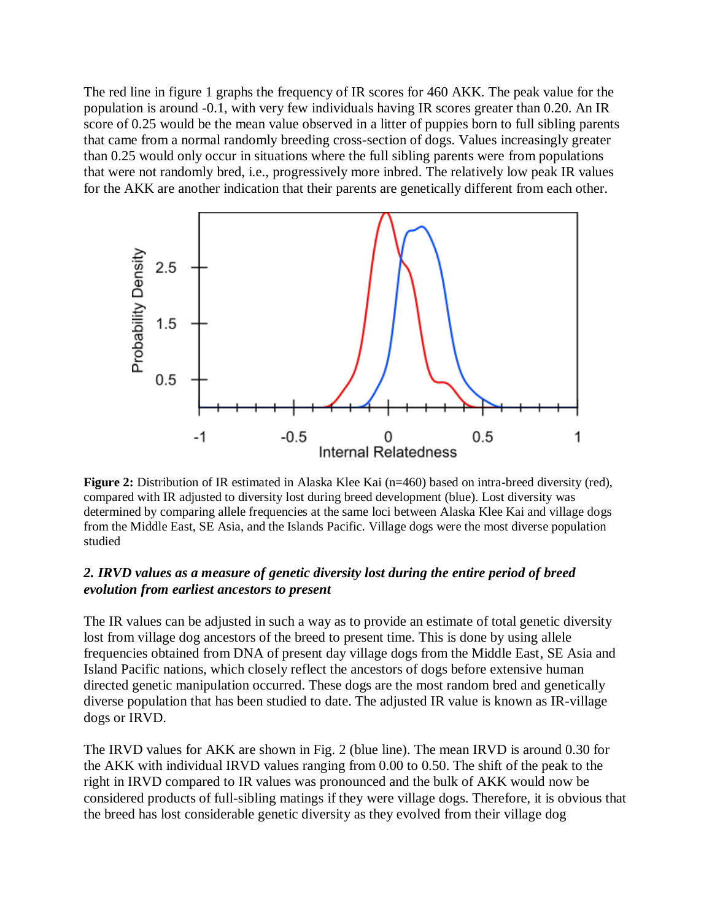The red line in figure 1 graphs the frequency of IR scores for 460 AKK. The peak value for the population is around -0.1, with very few individuals having IR scores greater than 0.20. An IR score of 0.25 would be the mean value observed in a litter of puppies born to full sibling parents that came from a normal randomly breeding cross-section of dogs. Values increasingly greater than 0.25 would only occur in situations where the full sibling parents were from populations that were not randomly bred, i.e., progressively more inbred. The relatively low peak IR values for the AKK are another indication that their parents are genetically different from each other.



**Figure 2:** Distribution of IR estimated in Alaska Klee Kai (n=460) based on intra-breed diversity (red), compared with IR adjusted to diversity lost during breed development (blue). Lost diversity was determined by comparing allele frequencies at the same loci between Alaska Klee Kai and village dogs from the Middle East, SE Asia, and the Islands Pacific. Village dogs were the most diverse population studied

## *2. IRVD values as a measure of genetic diversity lost during the entire period of breed evolution from earliest ancestors to present*

The IR values can be adjusted in such a way as to provide an estimate of total genetic diversity lost from village dog ancestors of the breed to present time. This is done by using allele frequencies obtained from DNA of present day village dogs from the Middle East, SE Asia and Island Pacific nations, which closely reflect the ancestors of dogs before extensive human directed genetic manipulation occurred. These dogs are the most random bred and genetically diverse population that has been studied to date. The adjusted IR value is known as IR-village dogs or IRVD.

The IRVD values for AKK are shown in Fig. 2 (blue line). The mean IRVD is around 0.30 for the AKK with individual IRVD values ranging from 0.00 to 0.50. The shift of the peak to the right in IRVD compared to IR values was pronounced and the bulk of AKK would now be considered products of full-sibling matings if they were village dogs. Therefore, it is obvious that the breed has lost considerable genetic diversity as they evolved from their village dog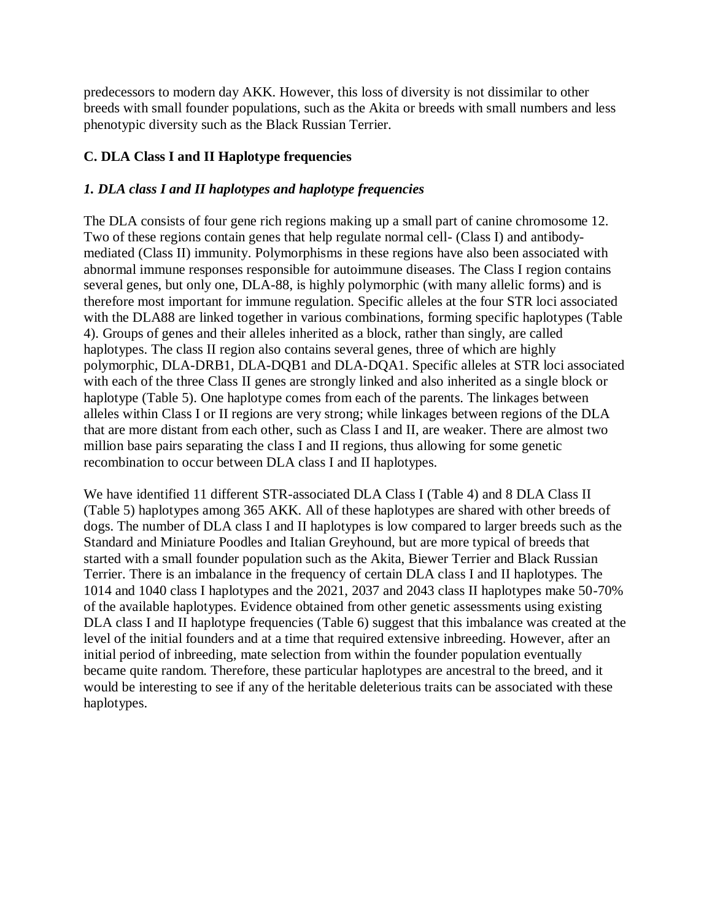predecessors to modern day AKK. However, this loss of diversity is not dissimilar to other breeds with small founder populations, such as the Akita or breeds with small numbers and less phenotypic diversity such as the Black Russian Terrier.

# **C. DLA Class I and II Haplotype frequencies**

# *1. DLA class I and II haplotypes and haplotype frequencies*

The DLA consists of four gene rich regions making up a small part of canine chromosome 12. Two of these regions contain genes that help regulate normal cell- (Class I) and antibodymediated (Class II) immunity. Polymorphisms in these regions have also been associated with abnormal immune responses responsible for autoimmune diseases. The Class I region contains several genes, but only one, DLA-88, is highly polymorphic (with many allelic forms) and is therefore most important for immune regulation. Specific alleles at the four STR loci associated with the DLA88 are linked together in various combinations, forming specific haplotypes (Table 4). Groups of genes and their alleles inherited as a block, rather than singly, are called haplotypes. The class II region also contains several genes, three of which are highly polymorphic, DLA-DRB1, DLA-DQB1 and DLA-DQA1. Specific alleles at STR loci associated with each of the three Class II genes are strongly linked and also inherited as a single block or haplotype (Table 5). One haplotype comes from each of the parents. The linkages between alleles within Class I or II regions are very strong; while linkages between regions of the DLA that are more distant from each other, such as Class I and II, are weaker. There are almost two million base pairs separating the class I and II regions, thus allowing for some genetic recombination to occur between DLA class I and II haplotypes.

We have identified 11 different STR-associated DLA Class I (Table 4) and 8 DLA Class II (Table 5) haplotypes among 365 AKK. All of these haplotypes are shared with other breeds of dogs. The number of DLA class I and II haplotypes is low compared to larger breeds such as the Standard and Miniature Poodles and Italian Greyhound, but are more typical of breeds that started with a small founder population such as the Akita, Biewer Terrier and Black Russian Terrier. There is an imbalance in the frequency of certain DLA class I and II haplotypes. The 1014 and 1040 class I haplotypes and the 2021, 2037 and 2043 class II haplotypes make 50-70% of the available haplotypes. Evidence obtained from other genetic assessments using existing DLA class I and II haplotype frequencies (Table 6) suggest that this imbalance was created at the level of the initial founders and at a time that required extensive inbreeding. However, after an initial period of inbreeding, mate selection from within the founder population eventually became quite random. Therefore, these particular haplotypes are ancestral to the breed, and it would be interesting to see if any of the heritable deleterious traits can be associated with these haplotypes.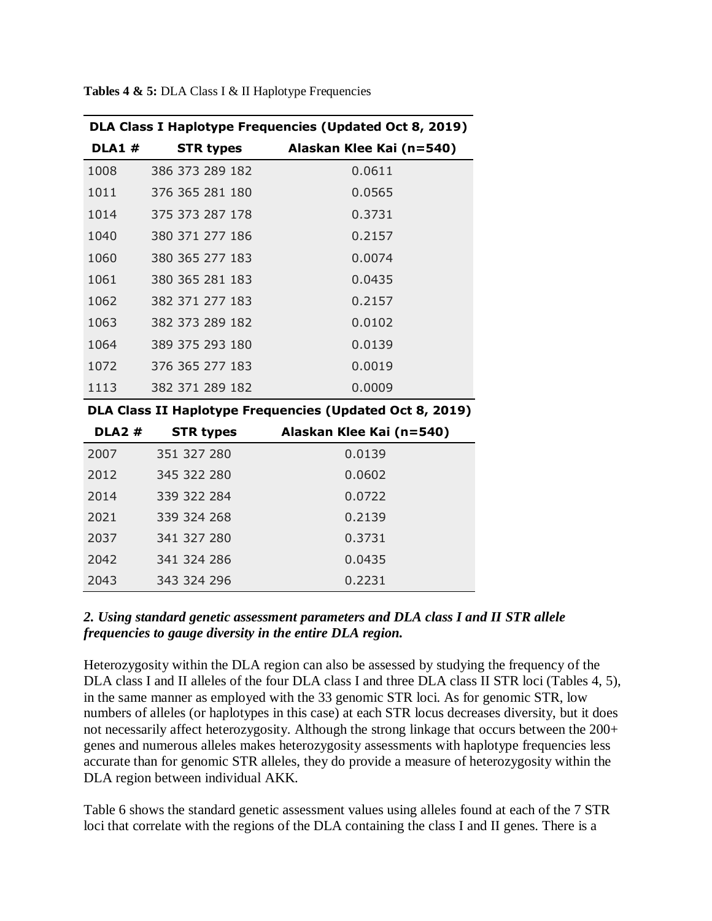| DLA Class I Haplotype Frequencies (Updated Oct 8, 2019) |                  |                          |  |  |  |
|---------------------------------------------------------|------------------|--------------------------|--|--|--|
| <b>DLA1#</b>                                            | <b>STR types</b> | Alaskan Klee Kai (n=540) |  |  |  |
| 1008                                                    | 386 373 289 182  | 0.0611                   |  |  |  |
| 1011                                                    | 376 365 281 180  | 0.0565                   |  |  |  |
| 1014                                                    | 375 373 287 178  | 0.3731                   |  |  |  |
| 1040                                                    | 380 371 277 186  | 0.2157                   |  |  |  |
| 1060                                                    | 380 365 277 183  | 0.0074                   |  |  |  |
| 1061                                                    | 380 365 281 183  | 0.0435                   |  |  |  |
| 1062                                                    | 382 371 277 183  | 0.2157                   |  |  |  |
| 1063                                                    | 382 373 289 182  | 0.0102                   |  |  |  |
| 1064                                                    | 389 375 293 180  | 0.0139                   |  |  |  |
| 1072                                                    | 376 365 277 183  | 0.0019                   |  |  |  |
| 1113                                                    | 382 371 289 182  | 0.0009                   |  |  |  |

**Tables 4 & 5:** DLA Class I & II Haplotype Frequencies

**DLA Class II Haplotype Frequencies (Updated Oct 8, 2019)**

| <b>DLA2#</b> | <b>STR types</b> | Alaskan Klee Kai (n=540) |
|--------------|------------------|--------------------------|
| 2007         | 351 327 280      | 0.0139                   |
| 2012         | 345 322 280      | 0.0602                   |
| 2014         | 339 322 284      | 0.0722                   |
| 2021         | 339 324 268      | 0.2139                   |
| 2037         | 341 327 280      | 0.3731                   |
| 2042         | 341 324 286      | 0.0435                   |
| 2043         | 343 324 296      | 0.2231                   |

## *2. Using standard genetic assessment parameters and DLA class I and II STR allele frequencies to gauge diversity in the entire DLA region.*

Heterozygosity within the DLA region can also be assessed by studying the frequency of the DLA class I and II alleles of the four DLA class I and three DLA class II STR loci (Tables 4, 5), in the same manner as employed with the 33 genomic STR loci. As for genomic STR, low numbers of alleles (or haplotypes in this case) at each STR locus decreases diversity, but it does not necessarily affect heterozygosity. Although the strong linkage that occurs between the 200+ genes and numerous alleles makes heterozygosity assessments with haplotype frequencies less accurate than for genomic STR alleles, they do provide a measure of heterozygosity within the DLA region between individual AKK.

Table 6 shows the standard genetic assessment values using alleles found at each of the 7 STR loci that correlate with the regions of the DLA containing the class I and II genes. There is a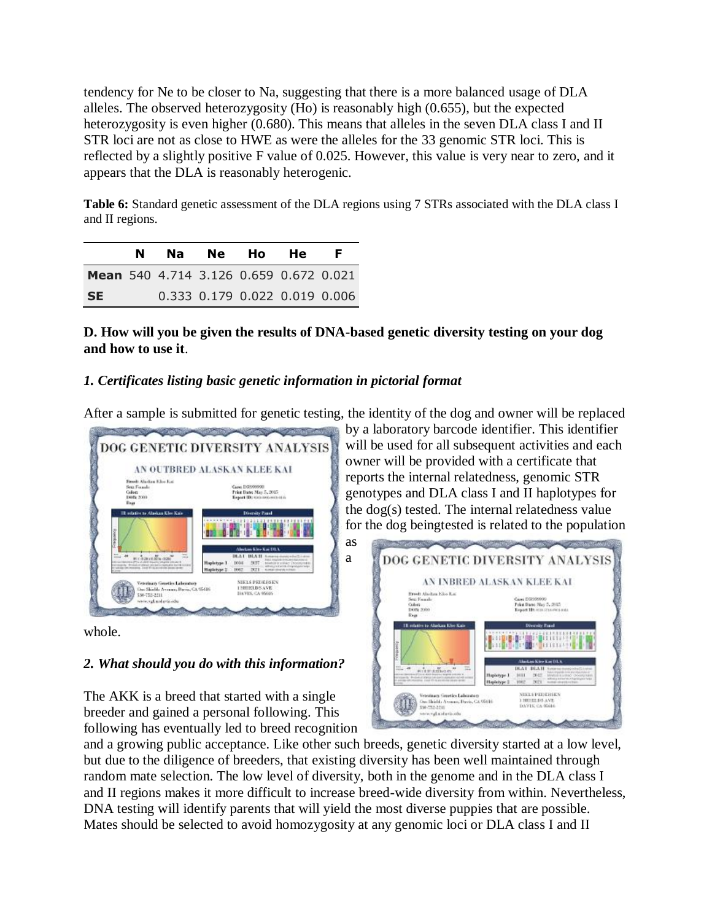tendency for Ne to be closer to Na, suggesting that there is a more balanced usage of DLA alleles. The observed heterozygosity (Ho) is reasonably high (0.655), but the expected heterozygosity is even higher (0.680). This means that alleles in the seven DLA class I and II STR loci are not as close to HWE as were the alleles for the 33 genomic STR loci. This is reflected by a slightly positive F value of 0.025. However, this value is very near to zero, and it appears that the DLA is reasonably heterogenic.

**Table 6:** Standard genetic assessment of the DLA regions using 7 STRs associated with the DLA class I and II regions.

|           | N | Na l                                          | Ne Ho                         | <b>He</b> | F. |
|-----------|---|-----------------------------------------------|-------------------------------|-----------|----|
|           |   | <b>Mean</b> 540 4.714 3.126 0.659 0.672 0.021 |                               |           |    |
| <b>SE</b> |   |                                               | 0.333 0.179 0.022 0.019 0.006 |           |    |

**D. How will you be given the results of DNA-based genetic diversity testing on your dog and how to use it**.

# *1. Certificates listing basic genetic information in pictorial format*

After a sample is submitted for genetic testing, the identity of the dog and owner will be replaced

a



whole.

### *2. What should you do with this information?*

The AKK is a breed that started with a single breeder and gained a personal following. This following has eventually led to breed recognition

and a growing public acceptance. Like other such breeds, genetic diversity started at a low level, but due to the diligence of breeders, that existing diversity has been well maintained through random mate selection. The low level of diversity, both in the genome and in the DLA class I and II regions makes it more difficult to increase breed-wide diversity from within. Nevertheless, DNA testing will identify parents that will yield the most diverse puppies that are possible. Mates should be selected to avoid homozygosity at any genomic loci or DLA class I and II

by a laboratory barcode identifier. This identifier will be used for all subsequent activities and each owner will be provided with a certificate that reports the internal relatedness, genomic STR genotypes and DLA class I and II haplotypes for the dog(s) tested. The internal relatedness value for [the dog beingtested is related to the population](https://www.vgl.ucdavis.edu/services/dog/diversityimages/inbredAKK.png) 

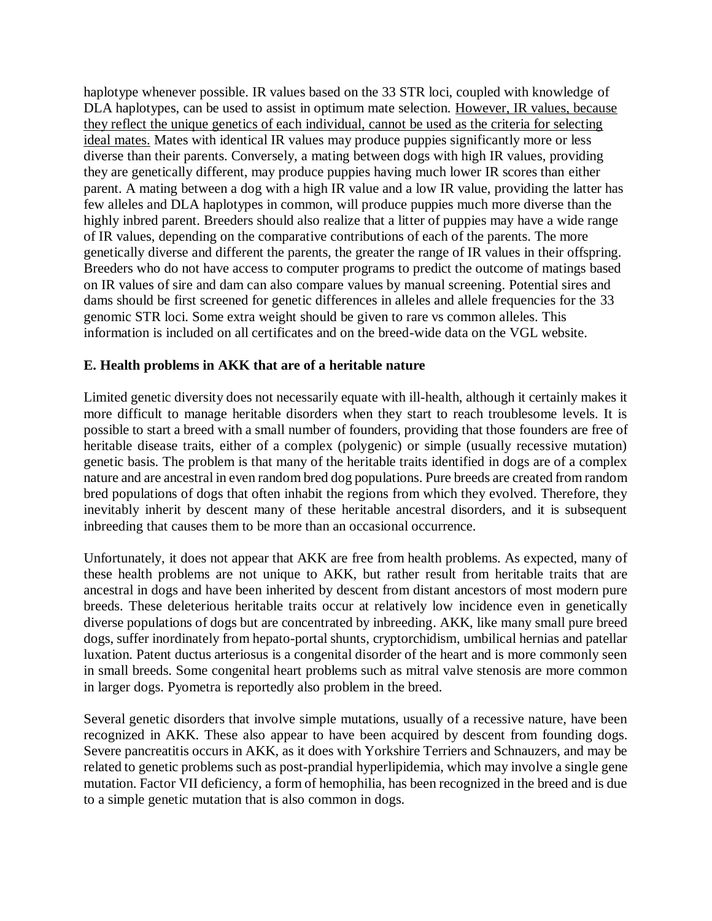haplotype whenever possible. IR values based on the 33 STR loci, coupled with knowledge of DLA haplotypes, can be used to assist in optimum mate selection. However, IR values, because they reflect the unique genetics of each individual, cannot be used as the criteria for selecting ideal mates. Mates with identical IR values may produce puppies significantly more or less diverse than their parents. Conversely, a mating between dogs with high IR values, providing they are genetically different, may produce puppies having much lower IR scores than either parent. A mating between a dog with a high IR value and a low IR value, providing the latter has few alleles and DLA haplotypes in common, will produce puppies much more diverse than the highly inbred parent. Breeders should also realize that a litter of puppies may have a wide range of IR values, depending on the comparative contributions of each of the parents. The more genetically diverse and different the parents, the greater the range of IR values in their offspring. Breeders who do not have access to computer programs to predict the outcome of matings based on IR values of sire and dam can also compare values by manual screening. Potential sires and dams should be first screened for genetic differences in alleles and allele frequencies for the 33 genomic STR loci. Some extra weight should be given to rare vs common alleles. This information is included on all certificates and on the breed-wide data on the VGL website.

## **E. Health problems in AKK that are of a heritable nature**

Limited genetic diversity does not necessarily equate with ill-health, although it certainly makes it more difficult to manage heritable disorders when they start to reach troublesome levels. It is possible to start a breed with a small number of founders, providing that those founders are free of heritable disease traits, either of a complex (polygenic) or simple (usually recessive mutation) genetic basis. The problem is that many of the heritable traits identified in dogs are of a complex nature and are ancestral in even random bred dog populations. Pure breeds are created from random bred populations of dogs that often inhabit the regions from which they evolved. Therefore, they inevitably inherit by descent many of these heritable ancestral disorders, and it is subsequent inbreeding that causes them to be more than an occasional occurrence.

Unfortunately, it does not appear that AKK are free from health problems. As expected, many of these health problems are not unique to AKK, but rather result from heritable traits that are ancestral in dogs and have been inherited by descent from distant ancestors of most modern pure breeds. These deleterious heritable traits occur at relatively low incidence even in genetically diverse populations of dogs but are concentrated by inbreeding. AKK, like many small pure breed dogs, suffer inordinately from hepato-portal shunts, cryptorchidism, umbilical hernias and patellar luxation. Patent ductus arteriosus is a congenital disorder of the heart and is more commonly seen in small breeds. Some congenital heart problems such as mitral valve stenosis are more common in larger dogs. Pyometra is reportedly also problem in the breed.

Several genetic disorders that involve simple mutations, usually of a recessive nature, have been recognized in AKK. These also appear to have been acquired by descent from founding dogs. Severe pancreatitis occurs in AKK, as it does with Yorkshire Terriers and Schnauzers, and may be related to genetic problems such as post-prandial hyperlipidemia, which may involve a single gene mutation. Factor VII deficiency, a form of hemophilia, has been recognized in the breed and is due to a simple genetic mutation that is also common in dogs.